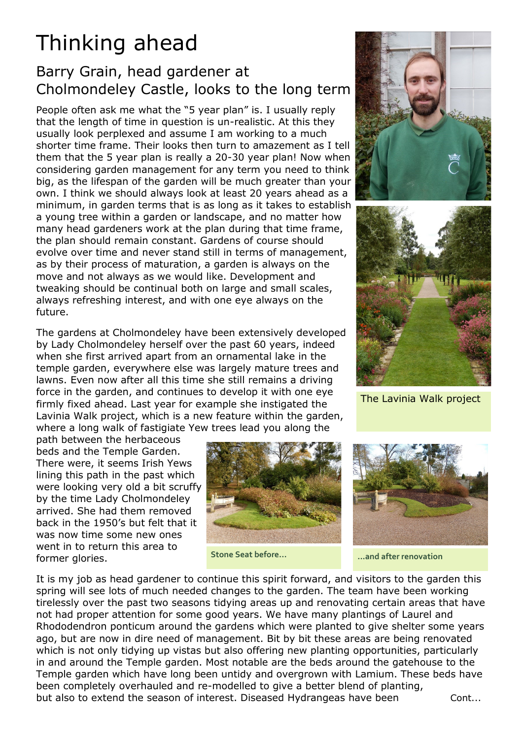## Thinking ahead

## Barry Grain, head gardener at Cholmondeley Castle, looks to the long term

People often ask me what the "5 year plan" is. I usually reply that the length of time in question is un-realistic. At this they usually look perplexed and assume I am working to a much shorter time frame. Their looks then turn to amazement as I tell them that the 5 year plan is really a 20-30 year plan! Now when considering garden management for any term you need to think big, as the lifespan of the garden will be much greater than your own. I think we should always look at least 20 years ahead as a minimum, in garden terms that is as long as it takes to establish a young tree within a garden or landscape, and no matter how many head gardeners work at the plan during that time frame, the plan should remain constant. Gardens of course should evolve over time and never stand still in terms of management, as by their process of maturation, a garden is always on the move and not always as we would like. Development and tweaking should be continual both on large and small scales, always refreshing interest, and with one eye always on the future.

The gardens at Cholmondeley have been extensively developed by Lady Cholmondeley herself over the past 60 years, indeed when she first arrived apart from an ornamental lake in the temple garden, everywhere else was largely mature trees and lawns. Even now after all this time she still remains a driving force in the garden, and continues to develop it with one eye firmly fixed ahead. Last year for example she instigated the Lavinia Walk project, which is a new feature within the garden, where a long walk of fastigiate Yew trees lead you along the

path between the herbaceous beds and the Temple Garden. There were, it seems Irish Yews lining this path in the past which were looking very old a bit scruffy by the time Lady Cholmondeley arrived. She had them removed back in the 1950's but felt that it was now time some new ones went in to return this area to former glories.



**Stone Seat before... ...and after renovation**





The Lavinia Walk project



It is my job as head gardener to continue this spirit forward, and visitors to the garden this spring will see lots of much needed changes to the garden. The team have been working tirelessly over the past two seasons tidying areas up and renovating certain areas that have not had proper attention for some good years. We have many plantings of Laurel and Rhododendron ponticum around the gardens which were planted to give shelter some years ago, but are now in dire need of management. Bit by bit these areas are being renovated which is not only tidying up vistas but also offering new planting opportunities, particularly in and around the Temple garden. Most notable are the beds around the gatehouse to the Temple garden which have long been untidy and overgrown with Lamium. These beds have been completely overhauled and re-modelled to give a better blend of planting, but also to extend the season of interest. Diseased Hydrangeas have been Cont...